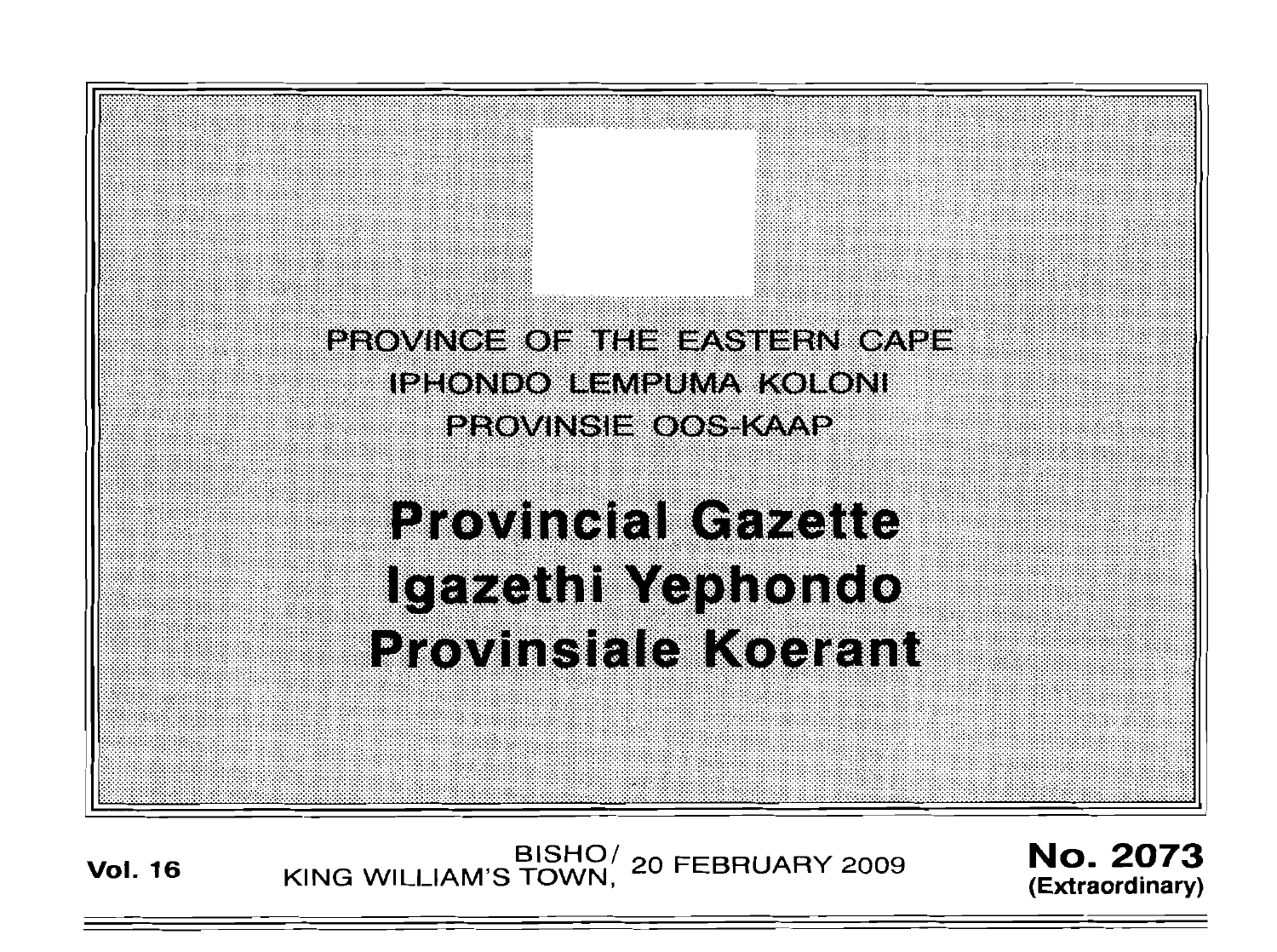

# **Provincial Gazette** Igazethi Yephondo **Provinsiale Koerant**

BISHO<sup>/</sup> 20 FEBRUARY 2009 **No. 2073**<br>
KING WILLIAM'S TOWN, 20 FEBRUARY 2009 (Extraordinary)

**(Extraordinary)**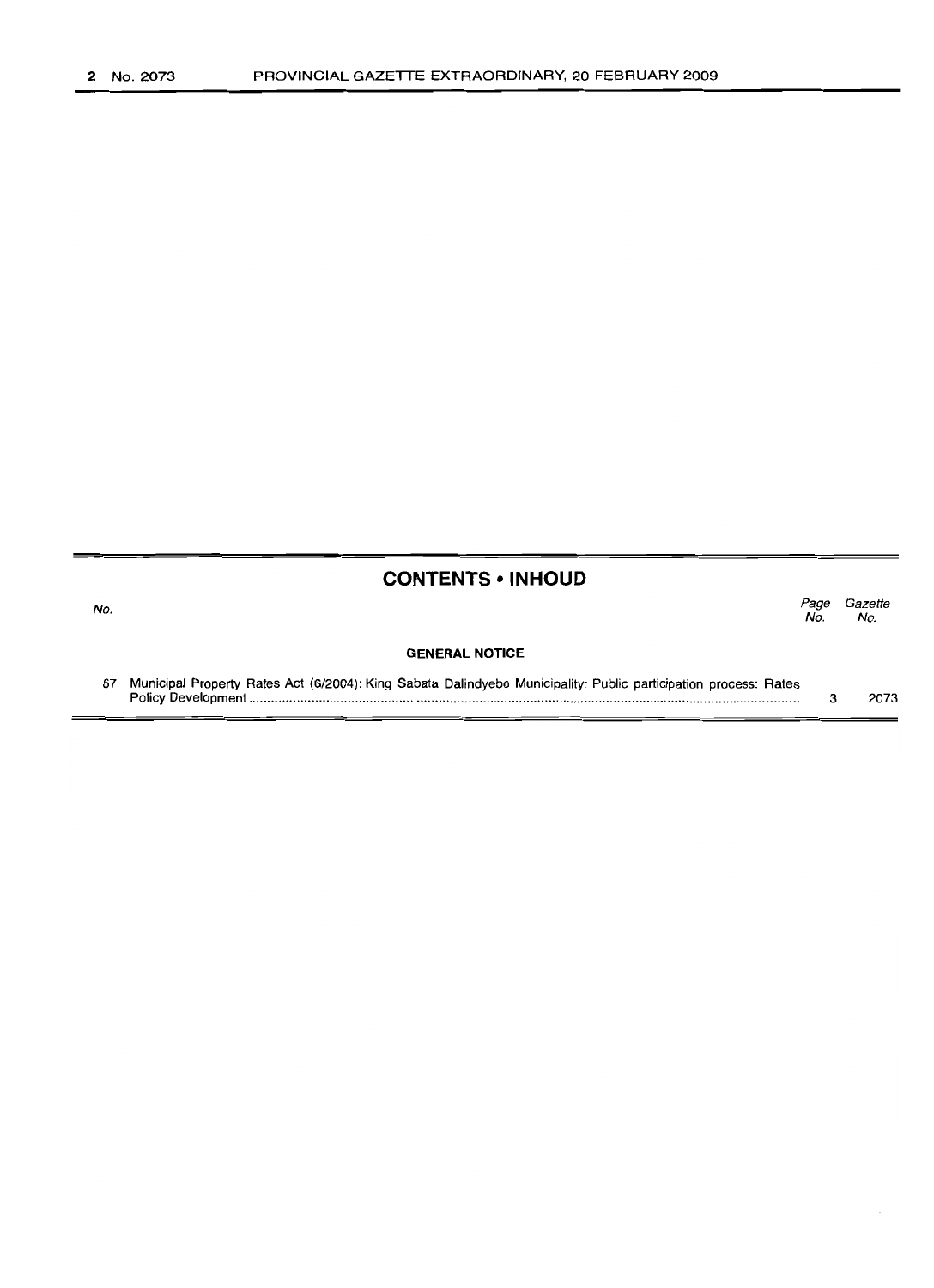# **CONTENTS • INHOUD**

| No. |                                                                                                                 | Page<br>No. | Gazette<br>No. |
|-----|-----------------------------------------------------------------------------------------------------------------|-------------|----------------|
|     | <b>GENERAL NOTICE</b>                                                                                           |             |                |
| 67  | Municipal Property Rates Act (6/2004): King Sabata Dalindyebo Municipality: Public participation process: Rates |             | 2073           |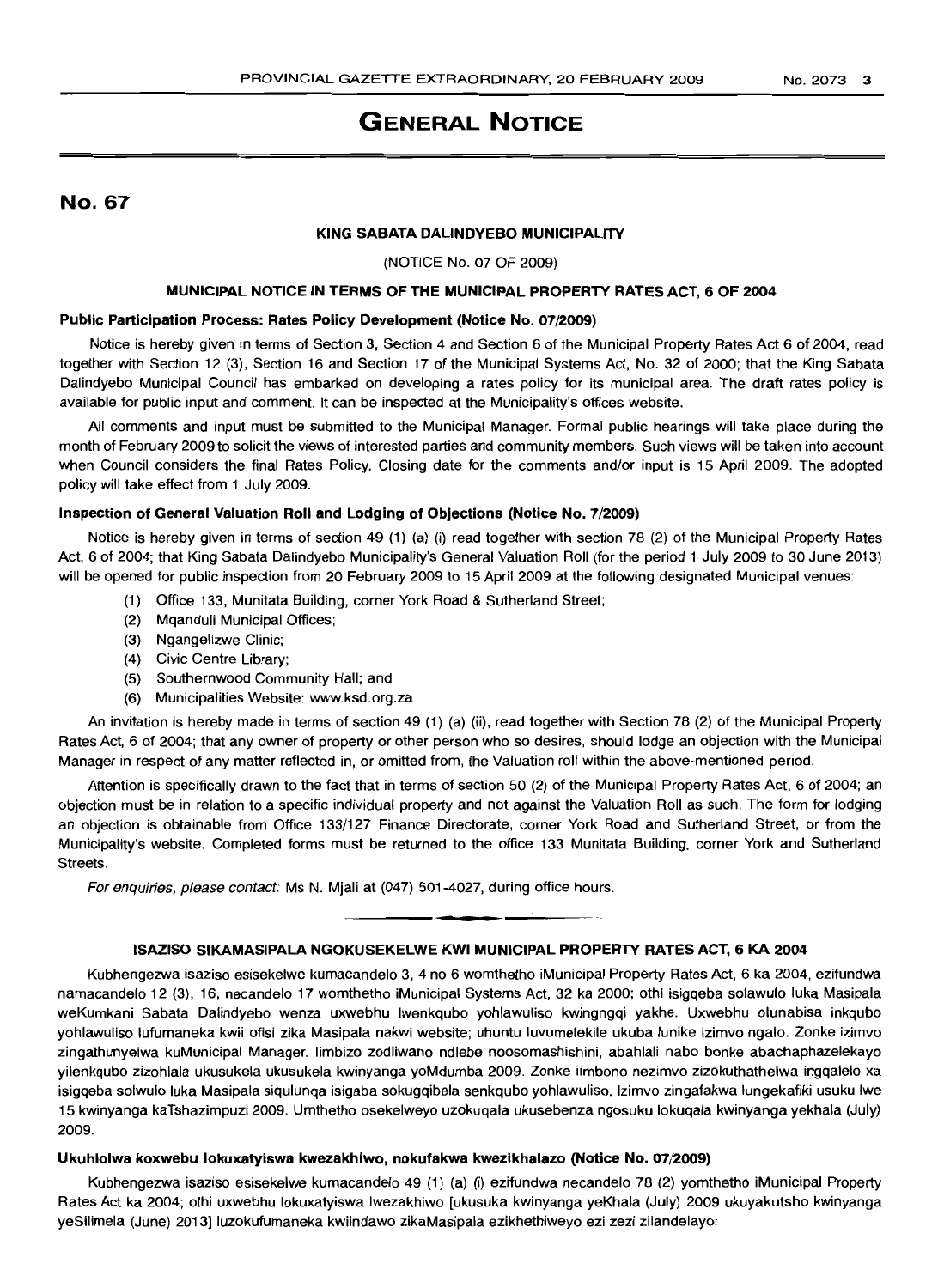# **GENERAL NOTICE**

No. 67

## **KING SABATA DALINDYEBO MUNICIPALITY**

### (NOTICE No. 07 OF 2009)

# **MUNICIPAL NOTICE IN TERMS OF THE MUNICIPAL PROPERTY RATES** ACT, **6 OF 2004**

#### **Public Participation Process: Rates Policy Development (Notice No.** 07/2009)

Notice is hereby given in terms of Section 3, Section 4 and Section 6 of the Municipal Property Rates Act 6 of 2004, read together with Section 12 (3), Section 16 and Section 17 of the Municipal Systems Act, No. 32 of 2000; that the King Sabata Dalindyebo Municipal Council has embarked on developing a rates policy for its municipal area. The draft rates policy is available for public input and comment. It can be inspected at the Municipality's offices website.

All comments and input must be submitted to the Municipal Manager. Formal public hearings will take place during the month of February 2009 to solicit the views of interested parties and community members. Such views will be taken into account when Council considers the final Rates Policy. Closing date for the comments and/or input is 15 April 2009. The adopted policy will take effect from 1 July 2009.

#### **Inspection of General Valuation Roll and lodging of Objections (Notice No.** 7/2009)

Notice is hereby given in terms of section 49 (1) (a) (i) read together with section 78 (2) of the Municipal Property Rates Act, 6 of 2004; that King Sabata Dalindyebo Municipality's General Valuation Roll (for the period 1 July 2009 to 30 June 2013) will be opened for public inspection from 20 February 2009 to 15 April 2009 at the following designated Municipal venues:

- (1) Office 133, Munitata Building, corner York Road & Sutherland Street;
- (2) Mqanduli Municipal Offices;
- (3) Ngangelizwe Clinic;
- (4) Civic Centre Library;
- (5) Southernwood Community Hall; and
- (6) Municipalities Website: www.ksd.org.za

An invitation is hereby made in terms of section 49 (1) (a) (ii), read together with Section 78 (2) of the Municipal Property Rates Act, 6 of 2004; that any owner of property or other person who so desires, should lodge an objection with the Municipal Manager in respect of any matter reflected in, or omitted from, the Valuation roll within the above-mentioned period.

Attention is specifically drawn to the fact that in terms of section 50 (2) of the Municipal Property Rates Act, 6 of 2004; an objection must be in relation to a specific individual property and not against the Valuation Roll as such. The form for lodging an objection is obtainable from Office 133/127 Finance Directorate, corner York Road and Sutherland Street, or from the Municipality's website. Completed forms must be returned to the office 133 Munitata Building, corner York and Sutherland Streets.

For enquiries, please contact: Ms N. Mjali at (047) 501-4027, during office hours.

## **ISAZISO SIKAMASIPALA NGOKUSEKElWE KWI MUNICIPAL PROPERTY RATES ACT, 6 KA 2004**

**-**

Kubhengezwa isaziso esisekelwe kumacandelo 3, 4 no 6 womthetho iMunicipal Property Rates Act, 6 ka 2004, ezifundwa namacandelo 12 (3), 16, necandelo 17 womthetho iMunicipal Systems Act, 32 ka 2000; othi isigqeba solawulo luka Masipala weKumkani Sabata Dalindyebo wenza uxwebhu Iwenkqubo yohlawuliso kwingngqi yakhe. Uxwebhu olunabisa inkqubo yohlawuliso lufumaneka kwii ofisi zika Masipala nakwi website; uhuntu luvumelekile ukuba lunike izimvo ngalo. Zonke izimvo zingathunyelwa kuMunicipal Manager. limbizo zodliwano ndlebe noosomashishini, abahlali nabo bonke abachaphazelekayo yilenkqubo zizohlala ukusukela ukusukela kwinyanga yoMdumba 2009. Zonke iimbono nezimvo zizokuthathelwa ingqalelo xa isigqeba solwulo luka Masipala siqulunqa isigaba sokugqibela senkqubo yohlawuliso. Izimvo zingafakwa lungekafiki usuku Iwe 15 kwinyanga kaTshazimpuzi 2009. Umthetho osekelweyo uzokuqala ukusebenza ngosuku lokuqala kwinyanga yekhala (July) 2009.

# **Ukuhlolwa koxwebu** lokuxatylswa **kwezakhiwo, nokufakwa kwezikhalazo (Notice No.** 07/2009)

Kubhengezwa isaziso esisekelwe kumacandelo 49 (1) (a) (i) ezifundwa necandelo 78 (2) yomthetho iMunicipal Property Rates Act ka 2004; othi uxwebhu lokuxatyiswa Iwezakhiwo [ukusuka kwinyanga yeKhala (July) 2009 ukuyakutsho kwinyanga yeSilimela (June) 2013] luzokufumaneka kwiindawo zikaMasipala ezikhethiweyo ezi zezi zilandelayo: